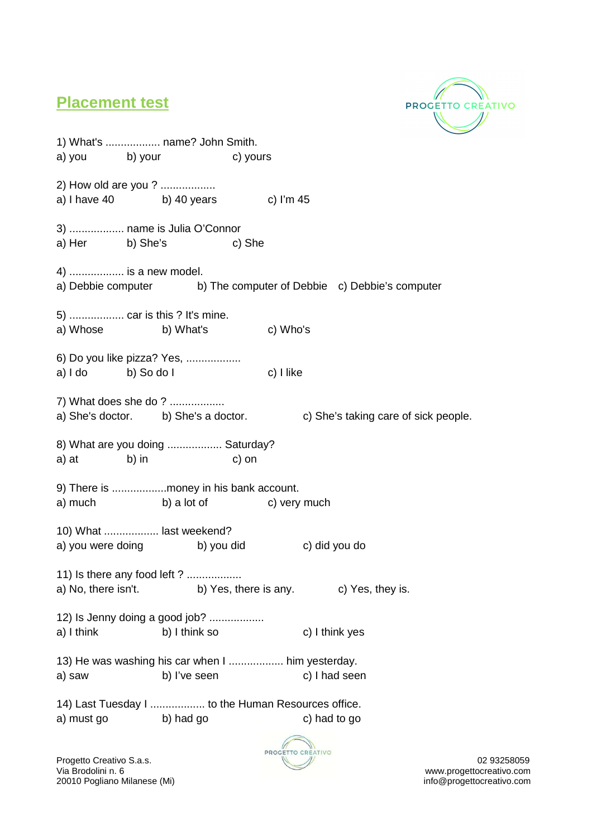

## **Placement test**

1) What's .................. name? John Smith. a) you b) your c) yours 2) How old are you ? .................. a) I have  $40$  b)  $40$  years c) I'm  $45$ 3) .................. name is Julia O'Connor a) Her b) She's c) She 4) .................. is a new model. a) Debbie computer b) The computer of Debbie c) Debbie's computer 5) .................. car is this ? It's mine. a) Whose b) What's c) Who's 6) Do you like pizza? Yes, .................. a) I do b) So do I c) I like 7) What does she do ? .................. a) She's doctor. b) She's a doctor. c) She's taking care of sick people. 8) What are you doing .................. Saturday? a) at b) in c) on 9) There is ..................money in his bank account. a) much b) a lot of c) very much 10) What .................. last weekend? a) you were doing b) you did c) did you do 11) Is there any food left ? .................. a) No, there isn't. b) Yes, there is any. c) Yes, they is. 12) Is Jenny doing a good job? .................. a) I think b) I think so c) I think yes 13) He was washing his car when I .................. him yesterday. a) saw b) I've seen c) I had seen 14) Last Tuesday I .................. to the Human Resources office. a) must go b) had go c) had to go



www.progettocreativo.com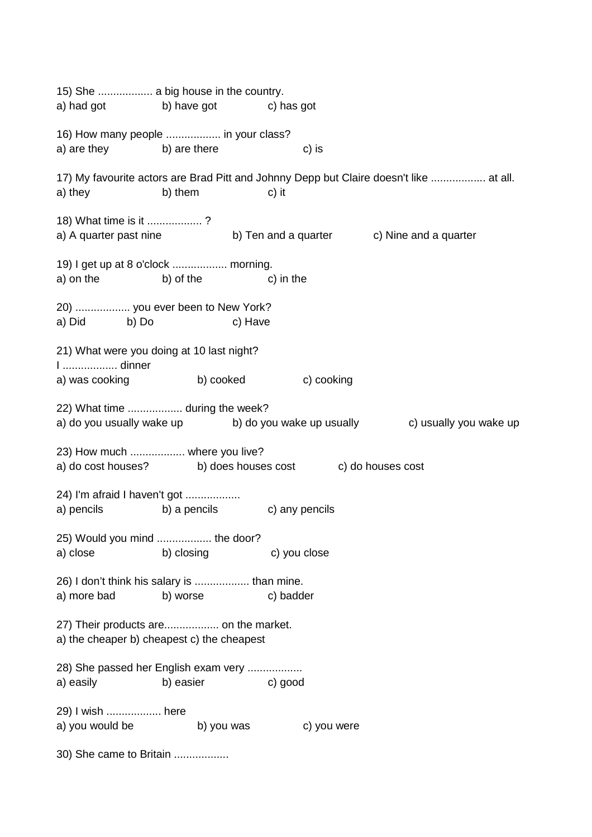15) She .................. a big house in the country. a) had got b) have got c) has got 16) How many people .................. in your class? a) are they b) are there c) is 17) My favourite actors are Brad Pitt and Johnny Depp but Claire doesn't like .................. at all. a) they b) them c) it 18) What time is it .................. ? a) A quarter past nine b) Ten and a quarter c) Nine and a quarter 19) I get up at 8 o'clock .................. morning. a) on the b) of the c) in the 20) .................. you ever been to New York? a) Did b) Do c) Have 21) What were you doing at 10 last night? I .................. dinner a) was cooking b) cooked c) cooking 22) What time .................. during the week? a) do you usually wake up b) do you wake up usually c) usually you wake up 23) How much .................. where you live? a) do cost houses? b) does houses cost c) do houses cost 24) I'm afraid I haven't got .................. a) pencils b) a pencils c) any pencils 25) Would you mind .................. the door? a) close b) closing c) you close 26) I don't think his salary is .................. than mine. a) more bad b) worse c) badder 27) Their products are.................. on the market. a) the cheaper b) cheapest c) the cheapest 28) She passed her English exam very .................. a) easily b) easier c) good 29) I wish .................. here a) you would be b) you was c) you were 30) She came to Britain ..................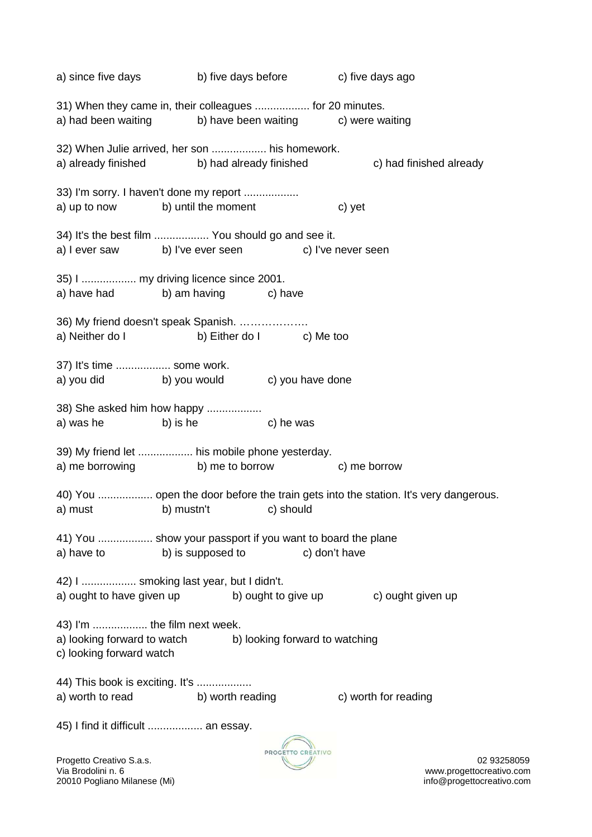a) since five days b) five days before c) five days ago 31) When they came in, their colleagues .................. for 20 minutes. a) had been waiting b) have been waiting c) were waiting 32) When Julie arrived, her son .................. his homework. a) already finished b) had already finished c) had finished already 33) I'm sorry. I haven't done my report .................. a) up to now b) until the moment c) yet 34) It's the best film .................. You should go and see it. a) I ever saw b) I've ever seen c) I've never seen 35) I .................. my driving licence since 2001. a) have had b) am having c) have 36) My friend doesn't speak Spanish. ………………. a) Neither do I b) Either do I c) Me too 37) It's time .................. some work. a) you did b) you would c) you have done 38) She asked him how happy .................. a) was he b) is he c) he was 39) My friend let .................. his mobile phone yesterday. a) me borrowing b) me to borrow c) me borrow 40) You .................. open the door before the train gets into the station. It's very dangerous. a) must b) mustn't c) should 41) You .................. show your passport if you want to board the plane a) have to b) is supposed to c) don't have 42) I .................. smoking last year, but I didn't. a) ought to have given up b) ought to give up c) ought given up 43) I'm .................. the film next week. a) looking forward to watch b) looking forward to watching c) looking forward watch 44) This book is exciting. It's .................. a) worth to read b) worth reading c) worth for reading 45) I find it difficult .................. an essay.



Progetto Creativo S.a.s. 02 93258059 www.progettocreativo.com

20010 Pogliano Milanese (Mi) info@progettocreativo.com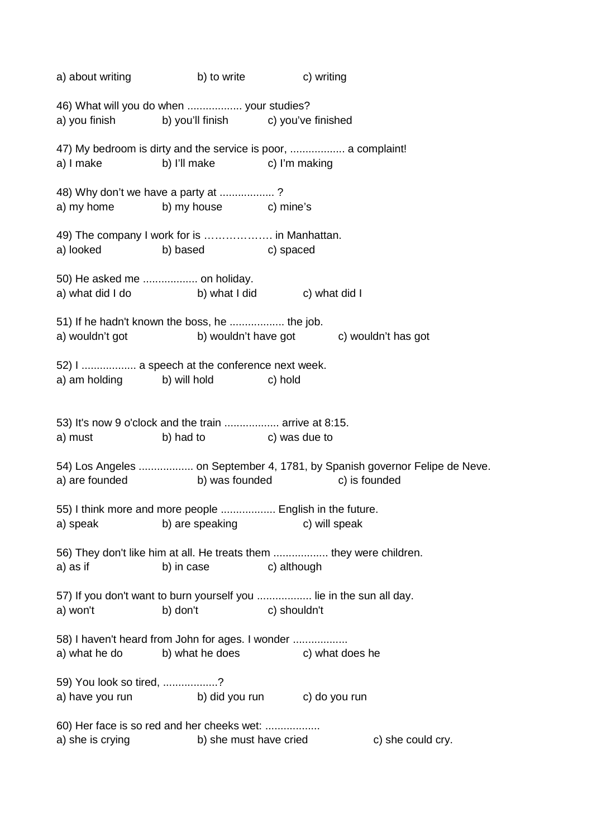a) about writing b) to write c) writing 46) What will you do when .................. your studies? a) you finish b) you'll finish c) you've finished 47) My bedroom is dirty and the service is poor, .................. a complaint! a) I make b) I'll make c) I'm making 48) Why don't we have a party at .................. ? a) my home b) my house c) mine's 49) The company I work for is ………………. in Manhattan. a) looked b) based c) spaced 50) He asked me .................. on holiday. a) what did I do b) what I did c) what did I 51) If he hadn't known the boss, he .................. the job. a) wouldn't got b) wouldn't have got c) wouldn't has got 52) I .................. a speech at the conference next week. a) am holding b) will hold c) hold 53) It's now 9 o'clock and the train .................. arrive at 8:15. a) must b) had to c) was due to 54) Los Angeles .................. on September 4, 1781, by Spanish governor Felipe de Neve. a) are founded b) was founded c) is founded 55) I think more and more people .................. English in the future. a) speak b) are speaking c) will speak 56) They don't like him at all. He treats them .................. they were children. a) as if b) in case c) although 57) If you don't want to burn yourself you .................. lie in the sun all day. a) won't b) don't c) shouldn't 58) I haven't heard from John for ages. I wonder ................. a) what he do b) what he does c) what does he 59) You look so tired, ..................? a) have you run b) did you run c) do you run 60) Her face is so red and her cheeks wet: .................. a) she is crying b) she must have cried c) she could cry.